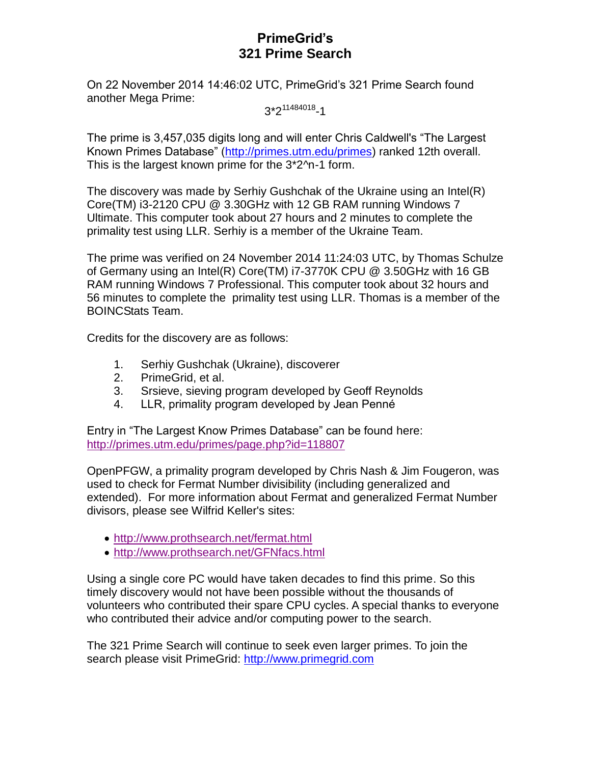# **PrimeGrid's 321 Prime Search**

On 22 November 2014 14:46:02 UTC, PrimeGrid's 321 Prime Search found another Mega Prime:

3\*2<sup>11484018</sup>-1

The prime is 3,457,035 digits long and will enter Chris Caldwell's "The Largest Known Primes Database" [\(http://primes.utm.edu/primes\)](http://primes.utm.edu/primes) ranked 12th overall. This is the largest known prime for the 3\*2^n-1 form.

The discovery was made by Serhiy Gushchak of the Ukraine using an Intel(R) Core(TM) i3-2120 CPU @ 3.30GHz with 12 GB RAM running Windows 7 Ultimate. This computer took about 27 hours and 2 minutes to complete the primality test using LLR. Serhiy is a member of the Ukraine Team.

The prime was verified on 24 November 2014 11:24:03 UTC, by Thomas Schulze of Germany using an Intel(R) Core(TM) i7-3770K CPU @ 3.50GHz with 16 GB RAM running Windows 7 Professional. This computer took about 32 hours and 56 minutes to complete the primality test using LLR. Thomas is a member of the BOINCStats Team.

Credits for the discovery are as follows:

- 1. Serhiy Gushchak (Ukraine), discoverer
- 2. PrimeGrid, et al.
- 3. Srsieve, sieving program developed by Geoff Reynolds
- 4. LLR, primality program developed by Jean Penné

Entry in "The Largest Know Primes Database" can be found here: <http://primes.utm.edu/primes/page.php?id=118807>

OpenPFGW, a primality program developed by Chris Nash & Jim Fougeron, was used to check for Fermat Number divisibility (including generalized and extended). For more information about Fermat and generalized Fermat Number divisors, please see Wilfrid Keller's sites:

- <http://www.prothsearch.net/fermat.html>
- <http://www.prothsearch.net/GFNfacs.html>

Using a single core PC would have taken decades to find this prime. So this timely discovery would not have been possible without the thousands of volunteers who contributed their spare CPU cycles. A special thanks to everyone who contributed their advice and/or computing power to the search.

The 321 Prime Search will continue to seek even larger primes. To join the search please visit PrimeGrid: [http://www.primegrid.com](http://www.primegrid.com/)